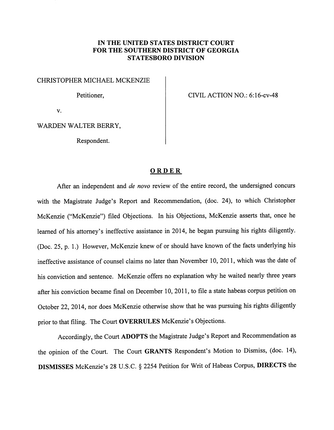## *IN THE UNITED STATES DISTRICT COURT FOR THE SOUTHERN DISTRICT OF GEORGIA STATESBORO DIVISION*

CHRISTOPHER MICHAEL MCKENZIE

Petitioner,

CIVIL ACTION NO.: 6:16-cv-48

v.

WARDEN WALTER BERRY,

Respondent.

## *ORDER*

After an independent and **de novo** review of the entire record, the undersigned concurs with the Magistrate Judge's Report and Recommendation, (doc. 24), to which Christopher McKenzie ("McKenzie") filed Objections. In his Objections, McKenzie asserts that, once he learned of his attorney's ineffective assistance in 2014, he began pursuing his rights diligently. (Doc. 25, p. 1.) However, McKenzie knew of or should have known of the facts underlying his ineffective assistance of counsel claims no later than November 10, 2011, which was the date of his conviction and sentence. McKenzie offers no explanation why he waited nearly three years after his conviction became final on December 10, 2011, to file a state habeas corpus petition on October 22, 2014, nor does McKenzie otherwise show that he was pursuing his rights diligently prior to that filing. The Court **OVERRULES** McKenzie's Objections.

Accordingly, the Court *ADOPTS* the Magistrate Judge's Report and Recommendation as the opinion of the Court. The Court *GRANTS* Respondent's Motion to Dismiss, (doc. 14), *DISMISSES* McKenzie's 28 U.S.C. § 2254 Petition for Writ of Habeas Corpus, *DIRECTS* the